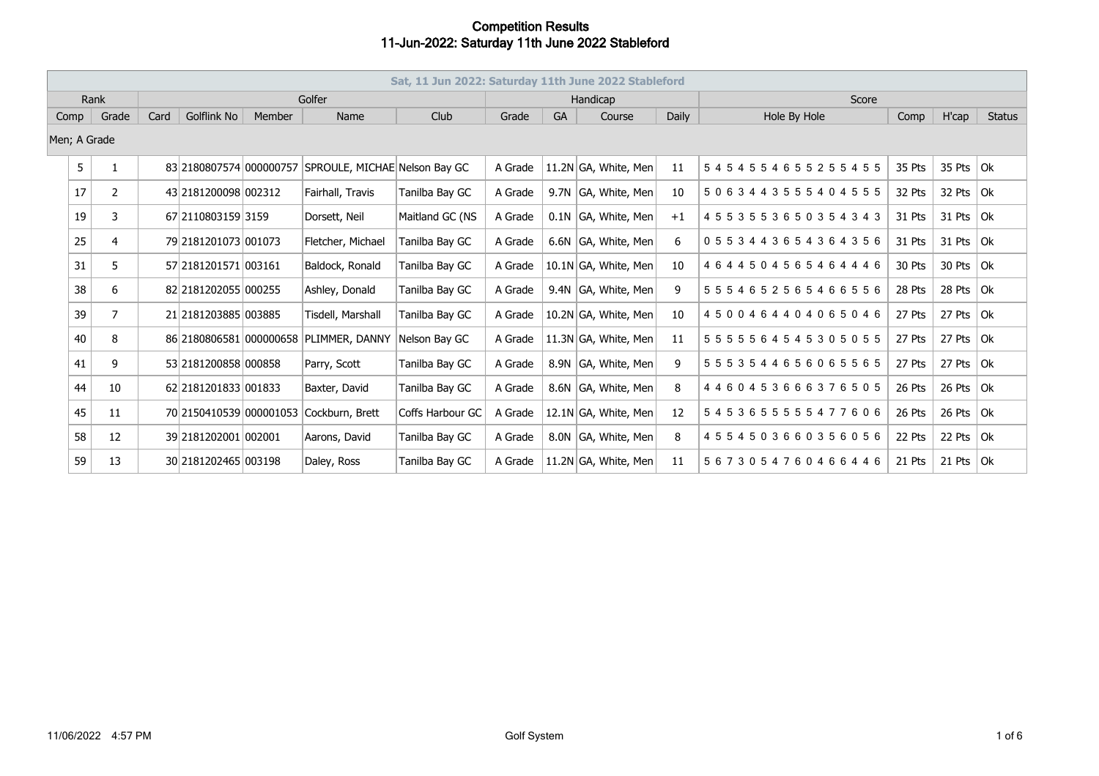|      | Sat, 11 Jun 2022: Saturday 11th June 2022 Stableford |                |        |                         |        |                               |                  |         |      |                       |       |                                 |        |               |               |  |
|------|------------------------------------------------------|----------------|--------|-------------------------|--------|-------------------------------|------------------|---------|------|-----------------------|-------|---------------------------------|--------|---------------|---------------|--|
|      | Rank                                                 |                | Golfer |                         |        |                               |                  |         |      | Handicap              |       | Score                           |        |               |               |  |
| Comp |                                                      | Grade          | Card   | Golflink No             | Member | Name                          | Club             | Grade   | GA   | Course                | Daily | Hole By Hole                    | Comp   | H'cap         | <b>Status</b> |  |
|      | Men; A Grade                                         |                |        |                         |        |                               |                  |         |      |                       |       |                                 |        |               |               |  |
|      | 5                                                    |                |        | 83 2180807574 000000757 |        | SPROULE, MICHAE Nelson Bay GC |                  | A Grade |      | 11.2N GA, White, Men  | 11    | 5454554655255455                | 35 Pts | 35 Pts $ $ Ok |               |  |
|      | 17                                                   | $\overline{2}$ |        | 43 2181200098 002312    |        | Fairhall, Travis              | Tanilba Bay GC   | A Grade | 9.7N | GA, White, Men        | 10    | 5063443555404555                | 32 Pts | 32 Pts $ Ok $ |               |  |
|      | 19                                                   | 3              |        | 67 2110803159 3159      |        | Dorsett, Neil                 | Maitland GC (NS  | A Grade |      | $0.1N$ GA, White, Men | $+1$  | 4553553650354343                | 31 Pts | 31 Pts $ 0k $ |               |  |
|      | 25                                                   | 4              |        | 79 2181201073 001073    |        | Fletcher, Michael             | Tanilba Bay GC   | A Grade |      | 6.6N GA, White, Men   | 6     | 0553443654364356                | 31 Pts | 31 Pts $ $ Ok |               |  |
|      | 31                                                   | 5              |        | 57 218 120 1571 00 3161 |        | Baldock, Ronald               | Tanilba Bay GC   | A Grade |      | 10.1N GA, White, Men  | 10    | 4644504565464446                | 30 Pts | 30 Pts $ Ok $ |               |  |
|      | 38                                                   | 6              |        | 82 2181202055 000255    |        | Ashley, Donald                | Tanilba Bay GC   | A Grade |      | 9.4N GA, White, Men   | 9     | 5554652565466556                | 28 Pts | 28 Pts $ Ok $ |               |  |
|      | 39                                                   | 7              |        | 21 2181203885 003885    |        | Tisdell, Marshall             | Tanilba Bay GC   | A Grade |      | 10.2N GA, White, Men  | 10    | 4500464404065046                | 27 Pts | 27 Pts $ Ok $ |               |  |
|      | 40                                                   | 8              |        | 86 2180806581 000000658 |        | PLIMMER, DANNY                | Nelson Bay GC    | A Grade |      | 11.3N GA, White, Men  | 11    | 5 5 5 5 5 6 4 5 4 5 3 0 5 0 5 5 | 27 Pts | 27 Pts $ Ok $ |               |  |
|      | 41                                                   | 9              |        | 53 2181200858 000858    |        | Parry, Scott                  | Tanilba Bay GC   | A Grade |      | 8.9N GA, White, Men   | 9     | 5553544656065565                | 27 Pts | 27 Pts $ Ok $ |               |  |
|      | 44                                                   | 10             |        | 62 2181201833 001833    |        | Baxter, David                 | Tanilba Bay GC   | A Grade |      | 8.6N GA, White, Men   | 8     | 4460453666376505                | 26 Pts | 26 Pts $ $ Ok |               |  |
|      | 45                                                   | 11             |        | 70 2150410539 000001053 |        | Cockburn, Brett               | Coffs Harbour GC | A Grade |      | 12.1N GA, White, Men  | 12    | 5453655555477606                | 26 Pts | 26 Pts $ $ Ok |               |  |
|      | 58                                                   | 12             |        | 39 2181202001 002001    |        | Aarons, David                 | Tanilba Bay GC   | A Grade |      | 8.0N GA, White, Men   | 8     | 4554503660356056                | 22 Pts | 22 Pts $ Ok $ |               |  |
|      | 59                                                   | 13             |        | 30 2181202465 003198    |        | Daley, Ross                   | Tanilba Bay GC   | A Grade |      | 11.2N GA, White, Men  | 11    | 5673054760466446                | 21 Pts | 21 Pts $ 0k $ |               |  |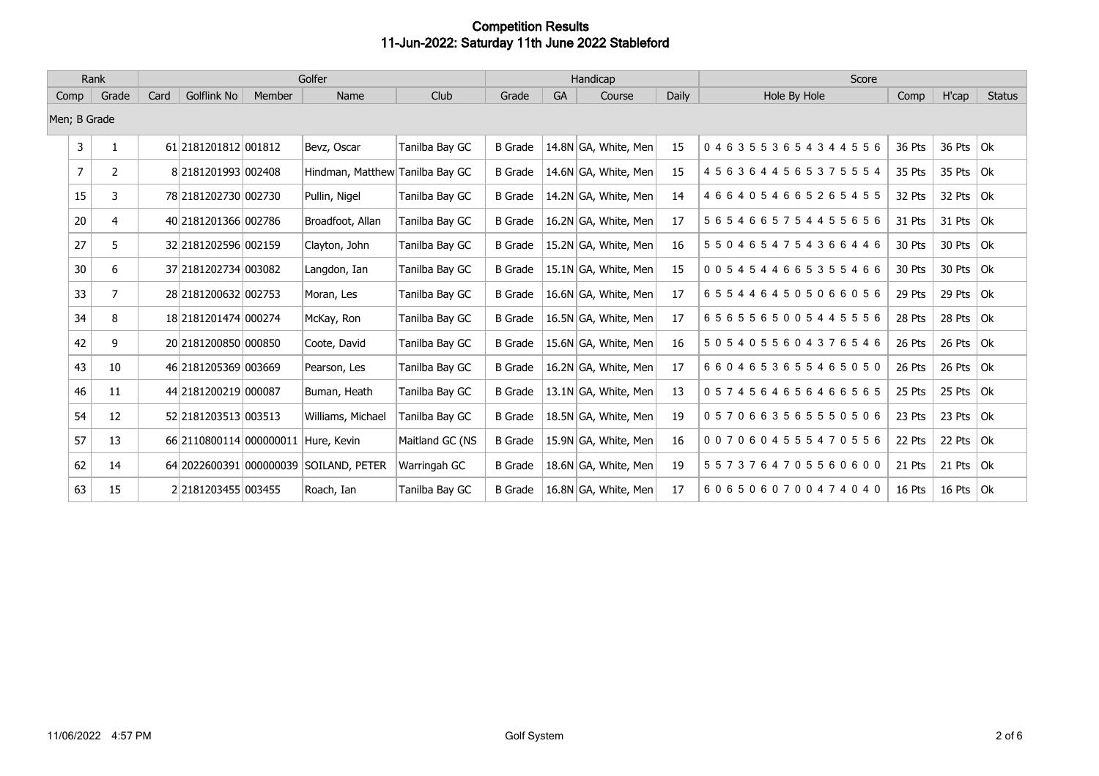| Rank           |                | Golfer |                                    |        |                                        |                 |                |    | Handicap             |       | Score            |        |               |               |
|----------------|----------------|--------|------------------------------------|--------|----------------------------------------|-----------------|----------------|----|----------------------|-------|------------------|--------|---------------|---------------|
| Comp           | Grade          | Card   | Golflink No                        | Member | Name                                   | Club            | Grade          | GA | Course               | Daily | Hole By Hole     | Comp   | H'cap         | <b>Status</b> |
| Men; B Grade   |                |        |                                    |        |                                        |                 |                |    |                      |       |                  |        |               |               |
| 3              | 1              |        | 61 218 120 18 12 00 18 12          |        | Bevz, Oscar                            | Tanilba Bay GC  | <b>B</b> Grade |    | 14.8N GA, White, Men | 15    | 0463553654344556 | 36 Pts | 36 Pts $ Ok $ |               |
| $\overline{7}$ | $\mathbf{2}$   |        | 8 2181201993 002408                |        | Hindman, Matthew Tanilba Bay GC        |                 | <b>B</b> Grade |    | 14.6N GA, White, Men | 15    | 4563644565375554 | 35 Pts | 35 Pts $ $ Ok |               |
| 15             | 3              |        | 78 2181202730 002730               |        | Pullin, Nigel                          | Tanilba Bay GC  | <b>B</b> Grade |    | 14.2N GA, White, Men | 14    | 4664054665265455 | 32 Pts | 32 Pts $ $ Ok |               |
| 20             | 4              |        | 40 2181201366 002786               |        | Broadfoot, Allan                       | Tanilba Bay GC  | <b>B</b> Grade |    | 16.2N GA, White, Men | 17    | 5654665754455656 | 31 Pts | 31 Pts $ 0k $ |               |
| 27             | 5              |        | 32 2181202596 002159               |        | Clayton, John                          | Tanilba Bay GC  | <b>B</b> Grade |    | 15.2N GA, White, Men | 16    | 5504654754366446 | 30 Pts | 30 Pts $ Ok $ |               |
| 30             | 6              |        | 37 218 120 2734 00 30 82           |        | Langdon, Ian                           | Tanilba Bay GC  | <b>B</b> Grade |    | 15.1N GA, White, Men | 15    | 0054544665355466 | 30 Pts | 30 Pts $ Ok $ |               |
| 33             | $\overline{7}$ |        | 28 2181200632 002753               |        | Moran, Les                             | Tanilba Bay GC  | <b>B</b> Grade |    | 16.6N GA, White, Men | 17    | 6554464505066056 | 29 Pts | 29 Pts $ Ok$  |               |
| 34             | 8              |        | 18 218 120 1474 000 274            |        | McKay, Ron                             | Tanilba Bay GC  | <b>B</b> Grade |    | 16.5N GA, White, Men | 17    | 6565565005445556 | 28 Pts | 28 Pts $ Ok$  |               |
| 42             | 9              |        | 20 2181200850 000850               |        | Coote, David                           | Tanilba Bay GC  | <b>B</b> Grade |    | 15.6N GA, White, Men | 16    | 5054055604376546 | 26 Pts | 26 Pts $ Ok $ |               |
| 43             | 10             |        | 46 2181205369 003669               |        | Pearson, Les                           | Tanilba Bay GC  | <b>B</b> Grade |    | 16.2N GA, White, Men | 17    | 6604653655465050 | 26 Pts | 26 Pts $ Ok $ |               |
| 46             | 11             |        | 44 2181200219 000087               |        | Buman, Heath                           | Tanilba Bay GC  | <b>B</b> Grade |    | 13.1N GA, White, Men | 13    | 0574564656466565 | 25 Pts | 25 Pts $ Ok $ |               |
| 54             | 12             |        | 52 2181203513 003513               |        | Williams, Michael                      | Tanilba Bay GC  | <b>B</b> Grade |    | 18.5N GA, White, Men | 19    | 0570663565550506 | 23 Pts | 23 Pts $ Ok $ |               |
| 57             | 13             |        | 66 2110800114 000000011            |        | Hure, Kevin                            | Maitland GC (NS | <b>B</b> Grade |    | 15.9N GA, White, Men | 16    | 0070604555470556 | 22 Pts | 22 Pts $ Ok $ |               |
| 62             | 14             |        |                                    |        | 64 2022600391 000000039 SOILAND, PETER | Warringah GC    | <b>B</b> Grade |    | 18.6N GA, White, Men | 19    | 5573764705560600 | 21 Pts | 21 Pts $ Ok$  |               |
| 63             | 15             |        | 2 2 2 18 1 2 0 3 4 5 5 0 0 3 4 5 5 |        | Roach, Ian                             | Tanilba Bay GC  | <b>B</b> Grade |    | 16.8N GA, White, Men | 17    | 6065060700474040 | 16 Pts | 16 Pts $ 0k $ |               |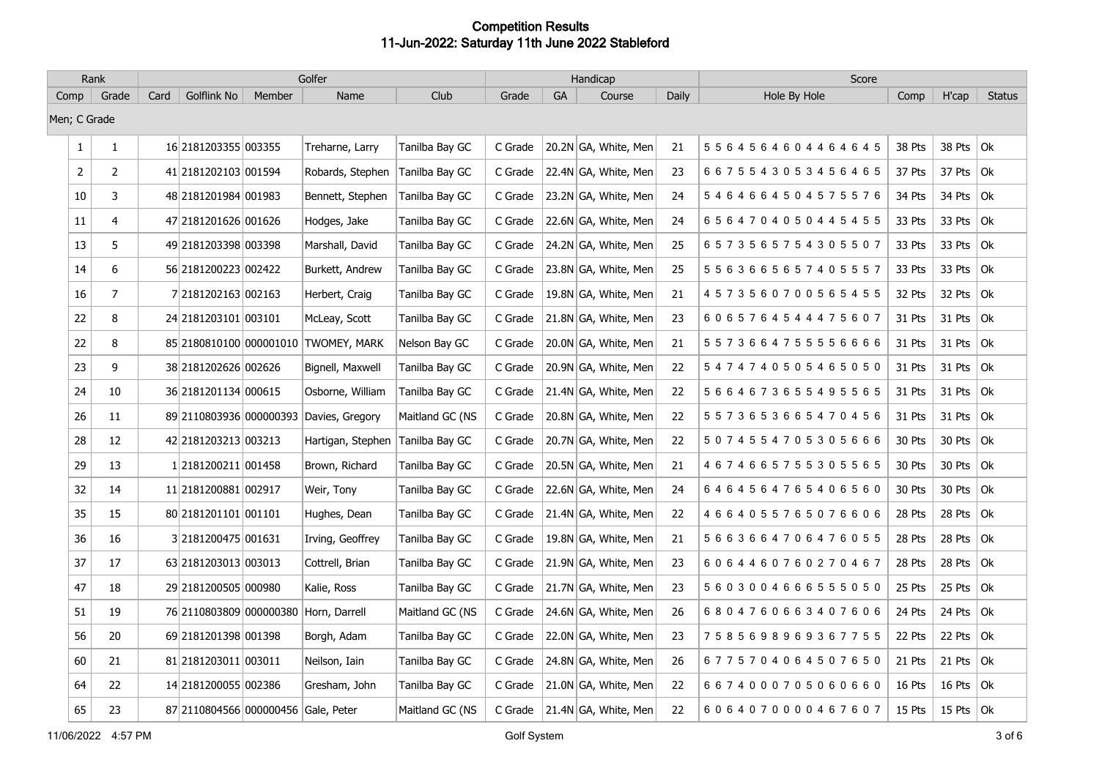|              | Rank           |      |                                     |        | Golfer                                  |                 |         |    | Handicap             |       | Score                           |        |               |               |
|--------------|----------------|------|-------------------------------------|--------|-----------------------------------------|-----------------|---------|----|----------------------|-------|---------------------------------|--------|---------------|---------------|
| Comp         | Grade          | Card | Golflink No                         | Member | Name                                    | Club            | Grade   | GA | Course               | Daily | Hole By Hole                    | Comp   | H'cap         | <b>Status</b> |
| Men; C Grade |                |      |                                     |        |                                         |                 |         |    |                      |       |                                 |        |               |               |
| $\mathbf{1}$ | $\mathbf{1}$   |      | 16 2181203355 003355                |        | Treharne, Larry                         | Tanilba Bay GC  | C Grade |    | 20.2N GA, White, Men | 21    | 5564564604464645                | 38 Pts | 38 Pts        | $ $ Ok        |
| 2            | $\overline{2}$ |      | 41 2181202103 001594                |        | Robards, Stephen                        | Tanilba Bay GC  | C Grade |    | 22.4N GA, White, Men | 23    | 6 6 7 5 5 4 3 0 5 3 4 5 6 4 6 5 | 37 Pts | 37 Pts $ Ok $ |               |
| 10           | 3              |      | 48 2181201984 001983                |        | Bennett, Stephen                        | Tanilba Bay GC  | C Grade |    | 23.2N GA, White, Men | 24    | 5464664504575576                | 34 Pts | 34 Pts $ $ Ok |               |
| $11\,$       | 4              |      | 47 2181201626 001626                |        | Hodges, Jake                            | Tanilba Bay GC  | C Grade |    | 22.6N GA, White, Men | 24    | 6564704050445455                | 33 Pts | 33 Pts $ Ok$  |               |
| 13           | 5              |      | 49 2181203398 003398                |        | Marshall, David                         | Tanilba Bay GC  | C Grade |    | 24.2N GA, White, Men | 25    | 6573565754305507                | 33 Pts | 33 Pts $ $ Ok |               |
| 14           | 6              |      | 56 2181200223 002422                |        | Burkett, Andrew                         | Tanilba Bay GC  | C Grade |    | 23.8N GA, White, Men | 25    | 5563665657405557                | 33 Pts | 33 Pts $ Ok $ |               |
| $16\,$       | $\overline{7}$ |      | 7 2181202163 002163                 |        | Herbert, Craig                          | Tanilba Bay GC  | C Grade |    | 19.8N GA, White, Men | 21    | 4573560700565455                | 32 Pts | 32 Pts $ Ok $ |               |
| 22           | 8              |      | 24 2181203101 003101                |        | McLeay, Scott                           | Tanilba Bay GC  | C Grade |    | 21.8N GA, White, Men | 23    | 6065764544475607                | 31 Pts | 31 Pts $ 0k $ |               |
| 22           | 8              |      |                                     |        | 85 2180810100 000001010 TWOMEY, MARK    | Nelson Bay GC   | C Grade |    | 20.0N GA, White, Men | 21    | 5 5 7 3 6 6 4 7 5 5 5 5 6 6 6 6 | 31 Pts | 31 Pts $ 0k $ |               |
| 23           | 9              |      | 38 2181202626 002626                |        | Bignell, Maxwell                        | Tanilba Bay GC  | C Grade |    | 20.9N GA, White, Men | 22    | 5474740505465050                | 31 Pts | 31 Pts $ 0k $ |               |
| 24           | 10             |      | 36 2181201134 000615                |        | Osborne, William                        | Tanilba Bay GC  | C Grade |    | 21.4N GA, White, Men | 22    | 5 6 6 4 6 7 3 6 5 5 4 9 5 5 6 5 | 31 Pts | 31 Pts        | Ok            |
| 26           | 11             |      |                                     |        | 89 2110803936 000000393 Davies, Gregory | Maitland GC (NS | C Grade |    | 20.8N GA, White, Men | 22    | 5573653665470456                | 31 Pts | 31 Pts $ 0k $ |               |
| 28           | 12             |      | 42 2181203213 003213                |        | Hartigan, Stephen                       | Tanilba Bay GC  | C Grade |    | 20.7N GA, White, Men | 22    | 5074554705305666                | 30 Pts | 30 Pts $ Ok $ |               |
| 29           | 13             |      | 1 2181200211 001458                 |        | Brown, Richard                          | Tanilba Bay GC  | C Grade |    | 20.5N GA, White, Men | 21    | 4 6 7 4 6 6 5 7 5 5 3 0 5 5 6 5 | 30 Pts | 30 Pts $ Ok $ |               |
| 32           | 14             |      | 11 2181200881 002917                |        | Weir, Tony                              | Tanilba Bay GC  | C Grade |    | 22.6N GA, White, Men | 24    | 6464564765406560                | 30 Pts | 30 Pts        | Ok            |
| 35           | 15             |      | 80 2181201101 001101                |        | Hughes, Dean                            | Tanilba Bay GC  | C Grade |    | 21.4N GA, White, Men | 22    | 4664055765076606                | 28 Pts | 28 Pts        | $ $ Ok        |
| 36           | 16             |      | 3 2181200475 001631                 |        | Irving, Geoffrey                        | Tanilba Bay GC  | C Grade |    | 19.8N GA, White, Men | 21    | 5 6 6 3 6 6 4 7 0 6 4 7 6 0 5 5 | 28 Pts | 28 Pts $ Ok$  |               |
| 37           | 17             |      | 63 2181203013 003013                |        | Cottrell, Brian                         | Tanilba Bay GC  | C Grade |    | 21.9N GA, White, Men | 23    | 6064460760270467                | 28 Pts | 28 Pts $ Ok $ |               |
| 47           | 18             |      | 29 2181200505 000980                |        | Kalie, Ross                             | Tanilba Bay GC  | C Grade |    | 21.7N GA, White, Men | 23    | 5 6 0 3 0 0 4 6 6 6 5 5 5 0 5 0 | 25 Pts | 25 Pts $ $ Ok |               |
| 51           | 19             |      |                                     |        | 76 2110803809 000000380 Horn, Darrell   | Maitland GC (NS | C Grade |    | 24.6N GA, White, Men | 26    | 6804760663407606                | 24 Pts | 24 Pts        | Ok            |
| 56           | 20             |      | 69 2181201398 001398                |        | Borgh, Adam                             | Tanilba Bay GC  | C Grade |    | 22.0N GA, White, Men | 23    | 7585698969367755                | 22 Pts | 22 Pts $ Ok $ |               |
| 60           | 21             |      | 81 2181203011 003011                |        | Neilson, Iain                           | Tanilba Bay GC  | C Grade |    | 24.8N GA, White, Men | 26    | 6775704064507650                | 21 Pts | 21 Pts        | Ok            |
| 64           | 22             |      | 14 2181200055 002386                |        | Gresham, John                           | Tanilba Bay GC  | C Grade |    | 21.0N GA, White, Men | 22    | 6674000705060660                | 16 Pts | 16 Pts $ $ Ok |               |
| 65           | 23             |      | 87 2110804566 000000456 Gale, Peter |        |                                         | Maitland GC (NS | C Grade |    | 21.4N GA, White, Men | 22    | 6064070000467607                | 15 Pts | 15 Pts $ 0k $ |               |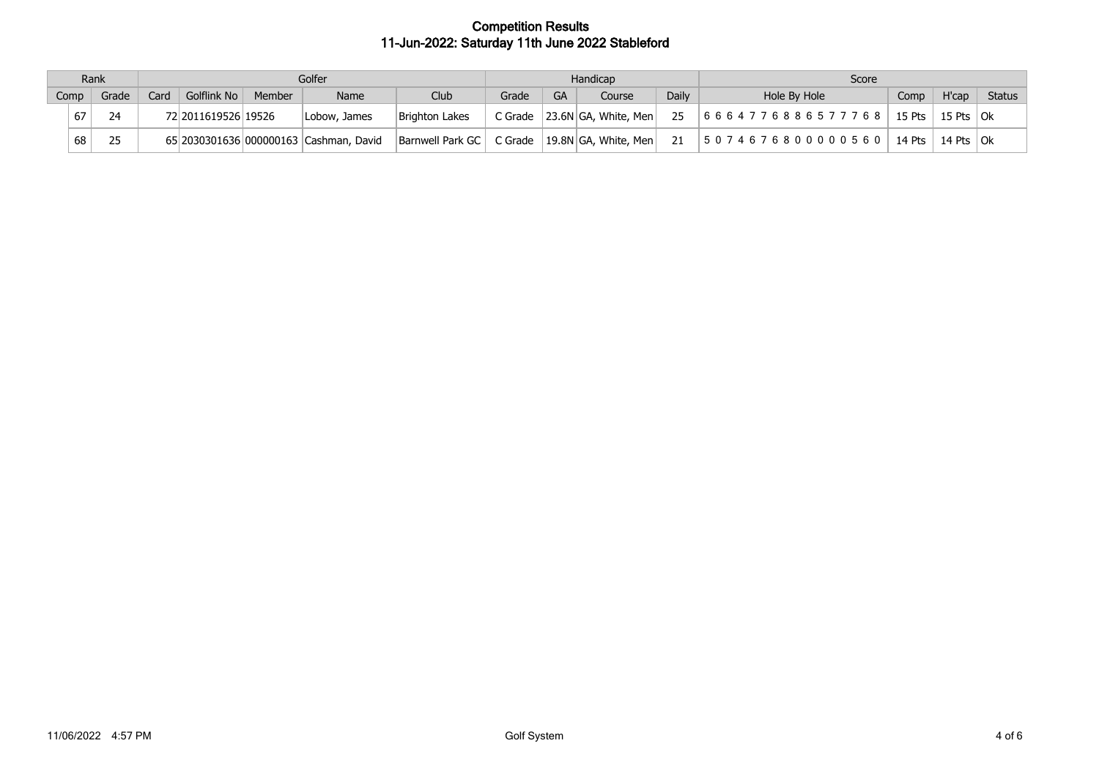| Rank |      | Golfer |      |                     |        |                                        |                  |       | Handicap |                                  | Score        |                    |        |               |               |
|------|------|--------|------|---------------------|--------|----------------------------------------|------------------|-------|----------|----------------------------------|--------------|--------------------|--------|---------------|---------------|
|      | Comp | Grade  | Card | <b>Golflink No</b>  | Member | Name                                   | Club             | Grade | GА       | <b>Course</b>                    | <b>Daily</b> | Hole By Hole       | Comp   | H'cap         | <b>Status</b> |
|      | 67   |        |      | 72 2011619526 19526 |        | Lobow, James                           | Brighton Lakes   |       |          | C Grade $ 23.6N GA$ , White, Men | 25           | 16664776886577768  | 15 Pts | 15 Pts $ 0k $ |               |
|      | 68   | つら     |      |                     |        | 65 2030301636 000000163 Cashman, David | Barnwell Park GC |       |          | C Grade $ 19.8N GA$ , White, Men | 21           | 150746768000005601 | 14 Pts | 14 Pts $ 0k $ |               |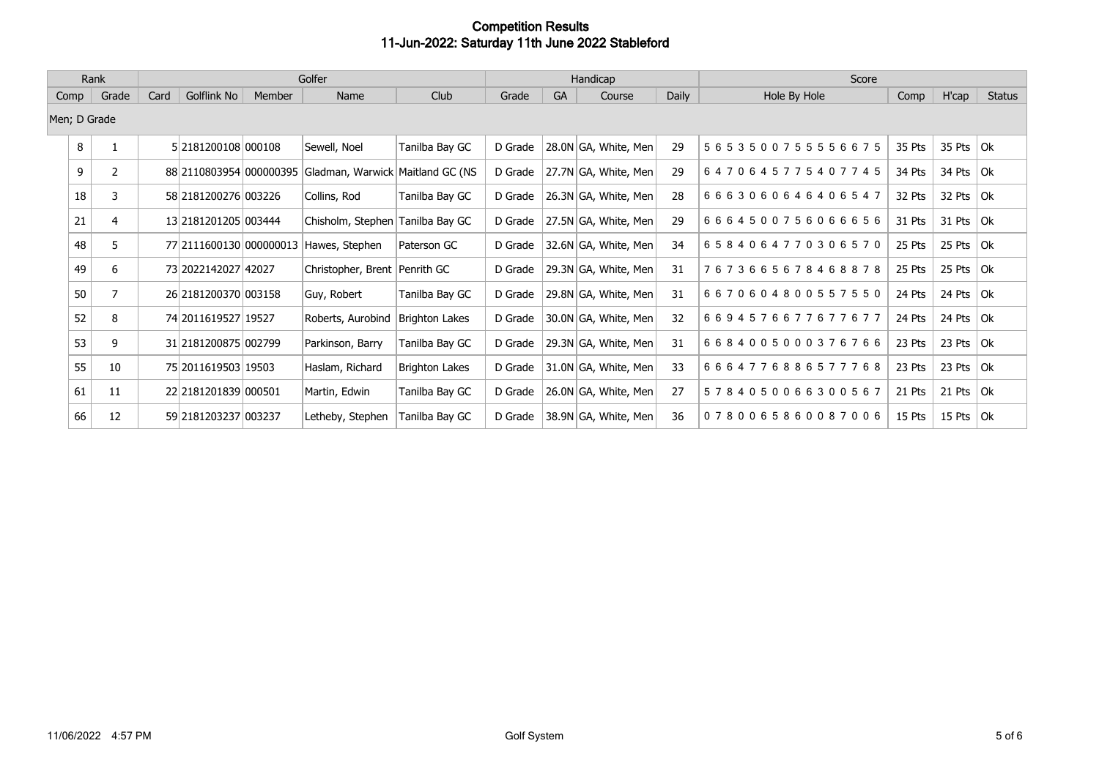| Rank         |       |      | Golfer                  |        |                                                          |                |         |           | Handicap             |       | Score            |        |               |               |
|--------------|-------|------|-------------------------|--------|----------------------------------------------------------|----------------|---------|-----------|----------------------|-------|------------------|--------|---------------|---------------|
| Comp         | Grade | Card | Golflink No             | Member | Name                                                     | Club           | Grade   | <b>GA</b> | Course               | Daily | Hole By Hole     | Comp   | H'cap         | <b>Status</b> |
| Men; D Grade |       |      |                         |        |                                                          |                |         |           |                      |       |                  |        |               |               |
| 8            |       |      | 5 2181200108 000108     |        | Sewell, Noel                                             | Tanilba Bay GC | D Grade |           | 28.0N GA, White, Men | 29    | 5653500755556675 | 35 Pts | 35 Pts $ $ Ok |               |
| 9            | 2     |      |                         |        | 88 2110803954 000000395 Gladman, Warwick Maitland GC (NS |                | D Grade |           | 27.7N GA, White, Men | 29    | 6470645775407745 | 34 Pts | 34 Pts $ $ Ok |               |
| 18           | 3     |      | 58 2181200276 003226    |        | Collins, Rod                                             | Tanilba Bay GC | D Grade |           | 26.3N GA, White, Men | 28    | 6663060646406547 | 32 Pts | 32 Pts $ $ Ok |               |
| 21           | 4     |      | 13 218 120 1205 00 3444 |        | Chisholm, Stephen Tanilba Bay GC                         |                | D Grade |           | 27.5N GA, White, Men | 29    | 6664500756066656 | 31 Pts | 31 Pts $ 0k $ |               |
| 48           | 5.    |      | 77 2111600130 000000013 |        | Hawes, Stephen                                           | Paterson GC    | D Grade |           | 32.6N GA, White, Men | 34    | 6584064770306570 | 25 Pts | 25 Pts $ $ Ok |               |
| 49           | 6     |      | 73 2022142027 42027     |        | Christopher, Brent   Penrith GC                          |                | D Grade |           | 29.3N GA, White, Men | 31    | 7673665678468878 | 25 Pts | 25 Pts $ $ Ok |               |
| 50           |       |      | 26 2181200370 003158    |        | Guy, Robert                                              | Tanilba Bay GC | D Grade |           | 29.8N GA, White, Men | 31    | 6670604800557550 | 24 Pts | 24 Pts $ Ok $ |               |
| 52           | 8     |      | 74 2011619527 19527     |        | Roberts, Aurobind                                        | Brighton Lakes | D Grade |           | 30.0N GA, White, Men | 32    | 6694576677677677 | 24 Pts | 24 Pts $ Ok$  |               |
| 53           | 9     |      | 31 2181200875 002799    |        | Parkinson, Barry                                         | Tanilba Bay GC | D Grade |           | 29.3N GA, White, Men | 31    | 6684005000376766 | 23 Pts | 23 Pts $ $ Ok |               |
| 55           | 10    |      | 75 20116 19503 19503    |        | Haslam, Richard                                          | Brighton Lakes | D Grade |           | 31.0N GA, White, Men | 33    | 6664776886577768 | 23 Pts | 23 Pts $ $ Ok |               |
| 61           | 11    |      | 22 2181201839 000501    |        | Martin, Edwin                                            | Tanilba Bay GC | D Grade |           | 26.0N GA, White, Men | 27    | 5784050066300567 | 21 Pts | 21 Pts $ 0k $ |               |
| 66           | 12    |      | 59 2181203237 003237    |        | Letheby, Stephen                                         | Tanilba Bay GC | D Grade |           | 38.9N GA, White, Men | 36    | 0780065860087006 | 15 Pts | 15 Pts $ 0k $ |               |